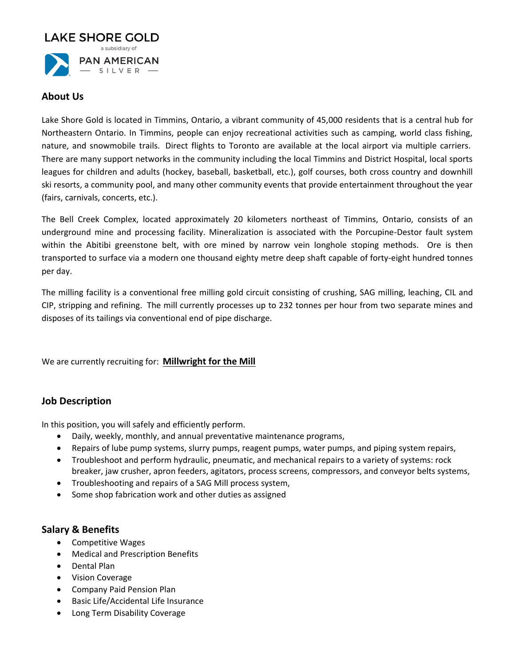

### **About Us**

Lake Shore Gold is located in Timmins, Ontario, a vibrant community of 45,000 residents that is a central hub for Northeastern Ontario. In Timmins, people can enjoy recreational activities such as camping, world class fishing, nature, and snowmobile trails. Direct flights to Toronto are available at the local airport via multiple carriers. There are many support networks in the community including the local Timmins and District Hospital, local sports leagues for children and adults (hockey, baseball, basketball, etc.), golf courses, both cross country and downhill ski resorts, a community pool, and many other community events that provide entertainment throughout the year (fairs, carnivals, concerts, etc.).

The Bell Creek Complex, located approximately 20 kilometers northeast of Timmins, Ontario, consists of an underground mine and processing facility. Mineralization is associated with the Porcupine-Destor fault system within the Abitibi greenstone belt, with ore mined by narrow vein longhole stoping methods. Ore is then transported to surface via a modern one thousand eighty metre deep shaft capable of forty-eight hundred tonnes per day.

The milling facility is a conventional free milling gold circuit consisting of crushing, SAG milling, leaching, CIL and CIP, stripping and refining. The mill currently processes up to 232 tonnes per hour from two separate mines and disposes of its tailings via conventional end of pipe discharge.

We are currently recruiting for: **Millwright for the Mill**

# **Job Description**

In this position, you will safely and efficiently perform.

- Daily, weekly, monthly, and annual preventative maintenance programs,
- Repairs of lube pump systems, slurry pumps, reagent pumps, water pumps, and piping system repairs,
- Troubleshoot and perform hydraulic, pneumatic, and mechanical repairs to a variety of systems: rock breaker, jaw crusher, apron feeders, agitators, process screens, compressors, and conveyor belts systems,
- Troubleshooting and repairs of a SAG Mill process system,
- Some shop fabrication work and other duties as assigned

### **Salary & Benefits**

- Competitive Wages
- Medical and Prescription Benefits
- Dental Plan
- Vision Coverage
- Company Paid Pension Plan
- Basic Life/Accidental Life Insurance
- Long Term Disability Coverage